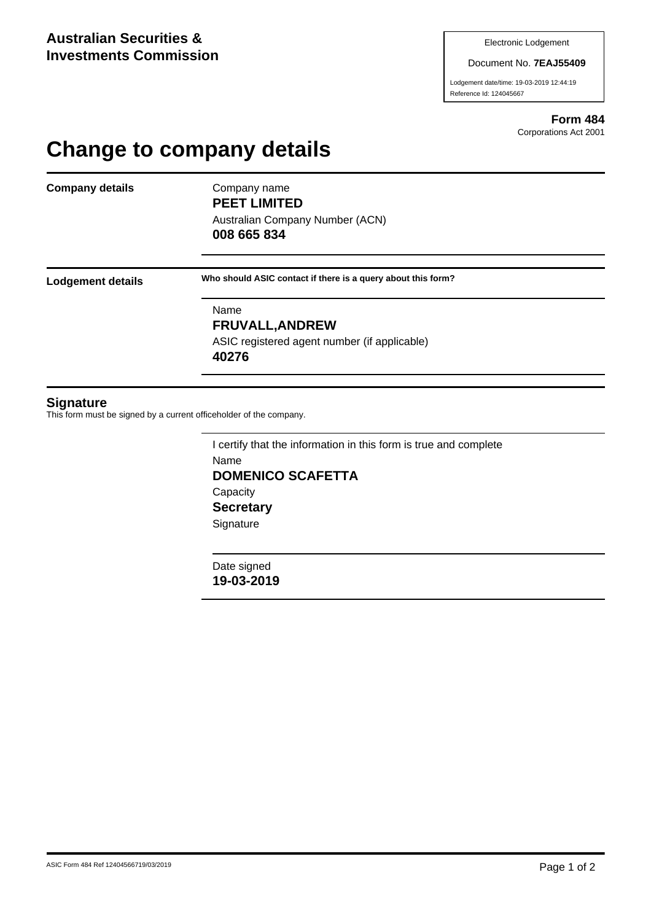Document No. **7EAJ55409**

Lodgement date/time: 19-03-2019 12:44:19 Reference Id: 124045667

> **Form 484** Corporations Act 2001

## **Change to company details**

**Company details** Company name

**PEET LIMITED** Australian Company Number (ACN)

**008 665 834**

**Lodgement details Who should ASIC contact if there is a query about this form?**

Name **FRUVALL,ANDREW** ASIC registered agent number (if applicable) **40276**

## **Signature**

This form must be signed by a current officeholder of the company.

I certify that the information in this form is true and complete Name **DOMENICO SCAFETTA Capacity Secretary Signature** 

Date signed **19-03-2019**